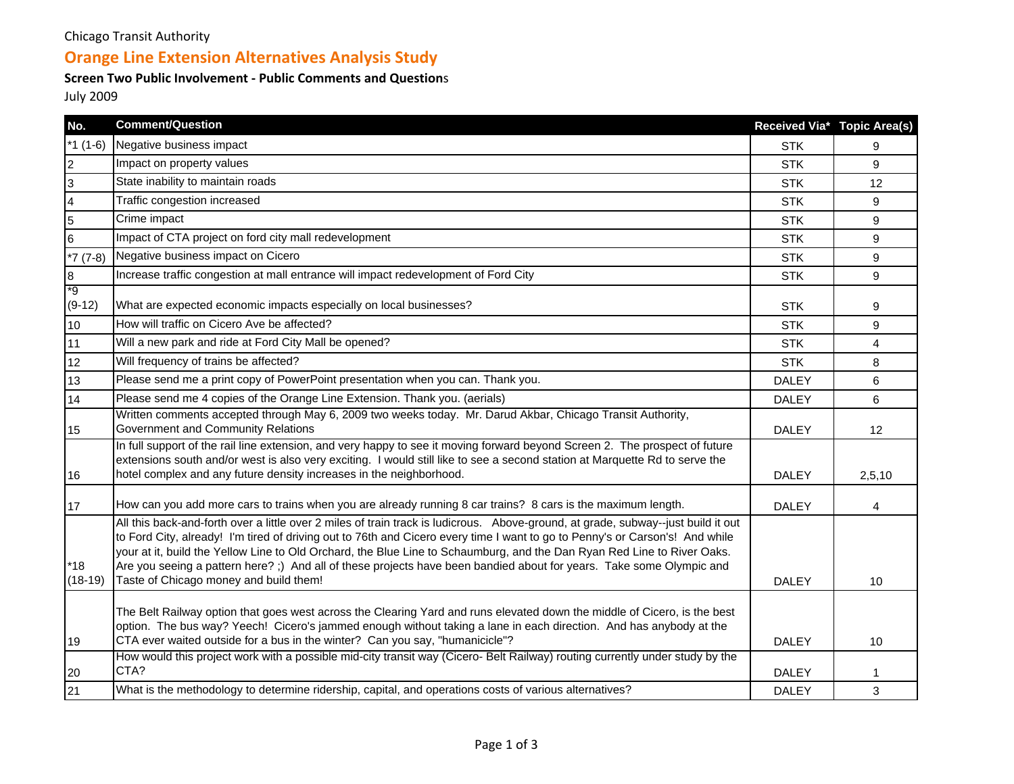### Chicago Transit Authority

# **Orange Line Extension Alternatives Analysis Study**

#### **Screen Two Public Involvement ‐ Public Comments and Question**<sup>s</sup>

July 2009

| No.              | <b>Comment/Question</b>                                                                                                                                                                                                                                                                                                                                                                                                                                                                                                                                        |              | Received Via* Topic Area(s) |
|------------------|----------------------------------------------------------------------------------------------------------------------------------------------------------------------------------------------------------------------------------------------------------------------------------------------------------------------------------------------------------------------------------------------------------------------------------------------------------------------------------------------------------------------------------------------------------------|--------------|-----------------------------|
| *1 $(1-6)$       | Negative business impact                                                                                                                                                                                                                                                                                                                                                                                                                                                                                                                                       | <b>STK</b>   | 9                           |
| $\overline{2}$   | Impact on property values                                                                                                                                                                                                                                                                                                                                                                                                                                                                                                                                      | <b>STK</b>   | 9                           |
| $\overline{3}$   | State inability to maintain roads                                                                                                                                                                                                                                                                                                                                                                                                                                                                                                                              | <b>STK</b>   | 12                          |
| $\overline{4}$   | Traffic congestion increased                                                                                                                                                                                                                                                                                                                                                                                                                                                                                                                                   | <b>STK</b>   | 9                           |
| 5                | Crime impact                                                                                                                                                                                                                                                                                                                                                                                                                                                                                                                                                   | <b>STK</b>   | 9                           |
| 6                | Impact of CTA project on ford city mall redevelopment                                                                                                                                                                                                                                                                                                                                                                                                                                                                                                          | <b>STK</b>   | 9                           |
| $*7(7-8)$        | Negative business impact on Cicero                                                                                                                                                                                                                                                                                                                                                                                                                                                                                                                             | <b>STK</b>   | 9                           |
| $\overline{8}$   | Increase traffic congestion at mall entrance will impact redevelopment of Ford City                                                                                                                                                                                                                                                                                                                                                                                                                                                                            | <b>STK</b>   | 9                           |
| *9<br>$(9-12)$   | What are expected economic impacts especially on local businesses?                                                                                                                                                                                                                                                                                                                                                                                                                                                                                             | <b>STK</b>   | 9                           |
| 10               | How will traffic on Cicero Ave be affected?                                                                                                                                                                                                                                                                                                                                                                                                                                                                                                                    | <b>STK</b>   | 9                           |
| 11               | Will a new park and ride at Ford City Mall be opened?                                                                                                                                                                                                                                                                                                                                                                                                                                                                                                          | <b>STK</b>   | 4                           |
| 12               | Will frequency of trains be affected?                                                                                                                                                                                                                                                                                                                                                                                                                                                                                                                          | <b>STK</b>   | 8                           |
| 13               | Please send me a print copy of PowerPoint presentation when you can. Thank you.                                                                                                                                                                                                                                                                                                                                                                                                                                                                                | <b>DALEY</b> | 6                           |
| 14               | Please send me 4 copies of the Orange Line Extension. Thank you. (aerials)                                                                                                                                                                                                                                                                                                                                                                                                                                                                                     | <b>DALEY</b> | 6                           |
| 15               | Written comments accepted through May 6, 2009 two weeks today. Mr. Darud Akbar, Chicago Transit Authority,<br>Government and Community Relations                                                                                                                                                                                                                                                                                                                                                                                                               | <b>DALEY</b> | 12                          |
| 16               | In full support of the rail line extension, and very happy to see it moving forward beyond Screen 2. The prospect of future<br>extensions south and/or west is also very exciting. I would still like to see a second station at Marquette Rd to serve the<br>hotel complex and any future density increases in the neighborhood.                                                                                                                                                                                                                              | <b>DALEY</b> | 2,5,10                      |
| 17               | How can you add more cars to trains when you are already running 8 car trains? 8 cars is the maximum length.                                                                                                                                                                                                                                                                                                                                                                                                                                                   | <b>DALEY</b> | 4                           |
| *18<br>$(18-19)$ | All this back-and-forth over a little over 2 miles of train track is ludicrous. Above-ground, at grade, subway--just build it out<br>to Ford City, already! I'm tired of driving out to 76th and Cicero every time I want to go to Penny's or Carson's! And while<br>your at it, build the Yellow Line to Old Orchard, the Blue Line to Schaumburg, and the Dan Ryan Red Line to River Oaks.<br>Are you seeing a pattern here? ;) And all of these projects have been bandied about for years. Take some Olympic and<br>Taste of Chicago money and build them! | <b>DALEY</b> | 10                          |
| 19               | The Belt Railway option that goes west across the Clearing Yard and runs elevated down the middle of Cicero, is the best<br>option. The bus way? Yeech! Cicero's jammed enough without taking a lane in each direction. And has anybody at the<br>CTA ever waited outside for a bus in the winter? Can you say, "humanicicle"?                                                                                                                                                                                                                                 | <b>DALEY</b> | 10                          |
| 20               | How would this project work with a possible mid-city transit way (Cicero- Belt Railway) routing currently under study by the<br>CTA?                                                                                                                                                                                                                                                                                                                                                                                                                           | <b>DALEY</b> |                             |
| 21               | What is the methodology to determine ridership, capital, and operations costs of various alternatives?                                                                                                                                                                                                                                                                                                                                                                                                                                                         | <b>DALEY</b> | 3                           |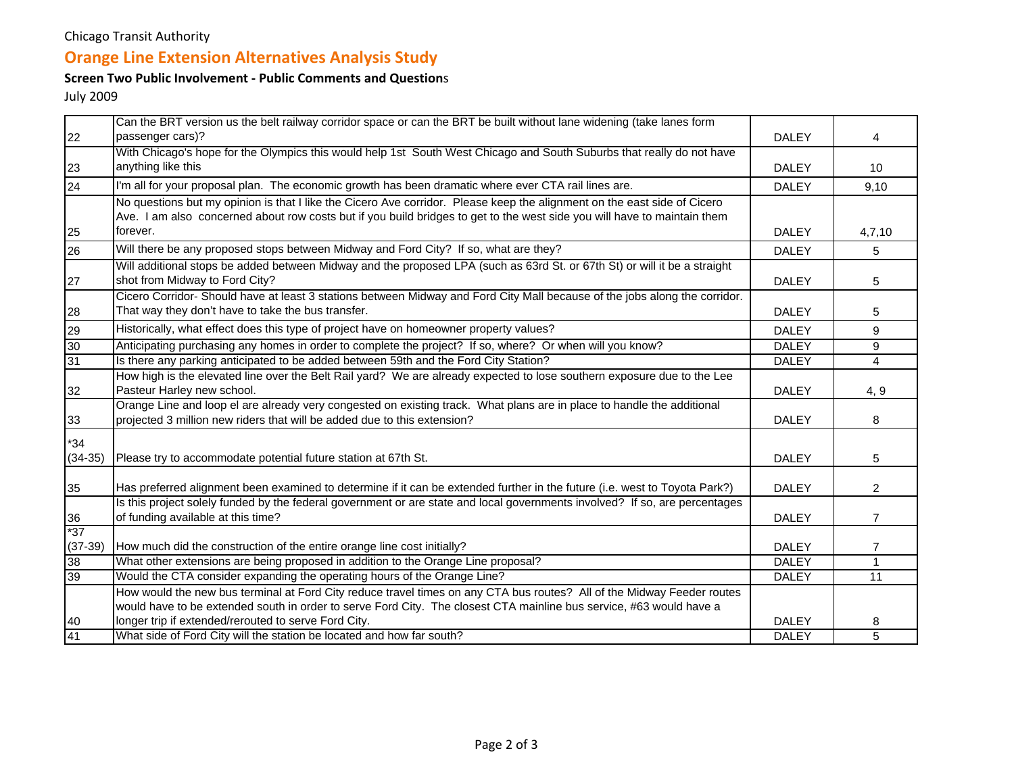### Chicago Transit Authority

# **Orange Line Extension Alternatives Analysis Study**

#### **Screen Two Public Involvement ‐ Public Comments and Question**<sup>s</sup>

July 2009

|           | Can the BRT version us the belt railway corridor space or can the BRT be built without lane widening (take lanes form       |              |                |
|-----------|-----------------------------------------------------------------------------------------------------------------------------|--------------|----------------|
| 22        | passenger cars)?                                                                                                            | <b>DALEY</b> | 4              |
|           | With Chicago's hope for the Olympics this would help 1st South West Chicago and South Suburbs that really do not have       |              |                |
| 23        | anything like this                                                                                                          | <b>DALEY</b> | 10             |
| 24        | I'm all for your proposal plan. The economic growth has been dramatic where ever CTA rail lines are.                        | <b>DALEY</b> | 9,10           |
|           | No questions but my opinion is that I like the Cicero Ave corridor. Please keep the alignment on the east side of Cicero    |              |                |
|           | Ave. I am also concerned about row costs but if you build bridges to get to the west side you will have to maintain them    |              |                |
| 25        | forever.                                                                                                                    | <b>DALEY</b> | 4,7,10         |
| 26        | Will there be any proposed stops between Midway and Ford City? If so, what are they?                                        | <b>DALEY</b> | 5              |
|           | Will additional stops be added between Midway and the proposed LPA (such as 63rd St. or 67th St) or will it be a straight   |              |                |
| 27        | shot from Midway to Ford City?                                                                                              | <b>DALEY</b> | 5              |
|           | Cicero Corridor- Should have at least 3 stations between Midway and Ford City Mall because of the jobs along the corridor.  |              |                |
| 28        | That way they don't have to take the bus transfer.                                                                          | <b>DALEY</b> | 5              |
| 29        | Historically, what effect does this type of project have on homeowner property values?                                      | <b>DALEY</b> | 9              |
| 30        | Anticipating purchasing any homes in order to complete the project? If so, where? Or when will you know?                    | <b>DALEY</b> | 9              |
| 31        | Is there any parking anticipated to be added between 59th and the Ford City Station?                                        | <b>DALEY</b> | $\overline{4}$ |
|           | How high is the elevated line over the Belt Rail yard? We are already expected to lose southern exposure due to the Lee     |              |                |
| 32        | Pasteur Harley new school.                                                                                                  | <b>DALEY</b> | 4, 9           |
|           | Orange Line and loop el are already very congested on existing track. What plans are in place to handle the additional      |              |                |
| 33        | projected 3 million new riders that will be added due to this extension?                                                    | <b>DALEY</b> | 8              |
| *34       |                                                                                                                             |              |                |
| $(34-35)$ | Please try to accommodate potential future station at 67th St.                                                              | <b>DALEY</b> | 5              |
|           |                                                                                                                             |              |                |
| 35        | Has preferred alignment been examined to determine if it can be extended further in the future (i.e. west to Toyota Park?)  | <b>DALEY</b> | $\overline{2}$ |
|           | Is this project solely funded by the federal government or are state and local governments involved? If so, are percentages |              |                |
| 36        | of funding available at this time?                                                                                          | <b>DALEY</b> | $\overline{7}$ |
| $*37$     |                                                                                                                             |              |                |
| $(37-39)$ | How much did the construction of the entire orange line cost initially?                                                     | <b>DALEY</b> | 7              |
| 38        | What other extensions are being proposed in addition to the Orange Line proposal?                                           | <b>DALEY</b> | $\mathbf{1}$   |
| 39        | Would the CTA consider expanding the operating hours of the Orange Line?                                                    | <b>DALEY</b> | 11             |
|           | How would the new bus terminal at Ford City reduce travel times on any CTA bus routes? All of the Midway Feeder routes      |              |                |
|           | would have to be extended south in order to serve Ford City. The closest CTA mainline bus service, #63 would have a         |              |                |
| 40        | longer trip if extended/rerouted to serve Ford City.                                                                        | <b>DALEY</b> | 8              |
| 41        | What side of Ford City will the station be located and how far south?                                                       | <b>DALEY</b> | $\overline{5}$ |